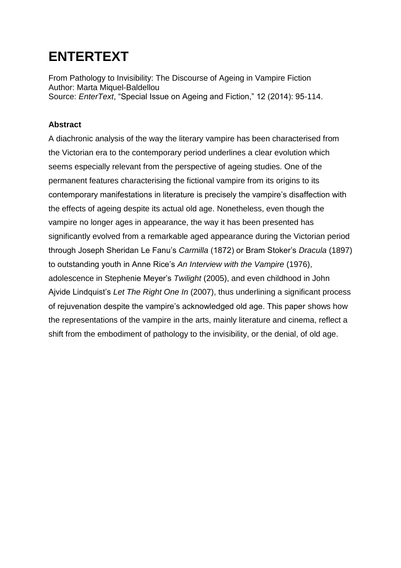# **ENTERTEXT**

From Pathology to Invisibility: The Discourse of Ageing in Vampire Fiction Author: Marta Miquel-Baldellou Source: *EnterText*, "Special Issue on Ageing and Fiction," 12 (2014): 95-114.

### **Abstract**

A diachronic analysis of the way the literary vampire has been characterised from the Victorian era to the contemporary period underlines a clear evolution which seems especially relevant from the perspective of ageing studies. One of the permanent features characterising the fictional vampire from its origins to its contemporary manifestations in literature is precisely the vampire's disaffection with the effects of ageing despite its actual old age. Nonetheless, even though the vampire no longer ages in appearance, the way it has been presented has significantly evolved from a remarkable aged appearance during the Victorian period through Joseph Sheridan Le Fanu's *Carmilla* (1872) or Bram Stoker's *Dracula* (1897) to outstanding youth in Anne Rice's *An Interview with the Vampire* (1976), adolescence in Stephenie Meyer's *Twilight* (2005), and even childhood in John Ajvide Lindquist's *Let The Right One In* (2007), thus underlining a significant process of rejuvenation despite the vampire's acknowledged old age. This paper shows how the representations of the vampire in the arts, mainly literature and cinema, reflect a shift from the embodiment of pathology to the invisibility, or the denial, of old age.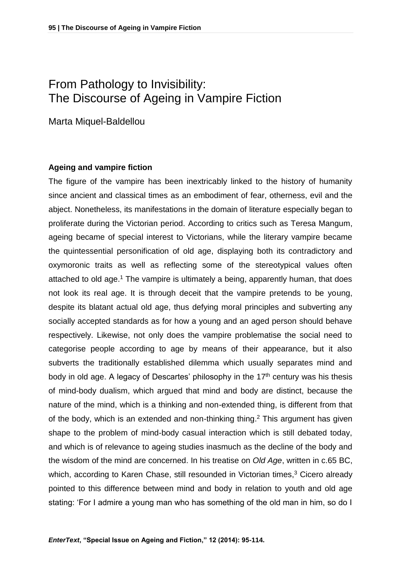## From Pathology to Invisibility: The Discourse of Ageing in Vampire Fiction

Marta Miquel-Baldellou

#### **Ageing and vampire fiction**

The figure of the vampire has been inextricably linked to the history of humanity since ancient and classical times as an embodiment of fear, otherness, evil and the abject. Nonetheless, its manifestations in the domain of literature especially began to proliferate during the Victorian period. According to critics such as Teresa Mangum, ageing became of special interest to Victorians, while the literary vampire became the quintessential personification of old age, displaying both its contradictory and oxymoronic traits as well as reflecting some of the stereotypical values often attached to old age.<sup>1</sup> The vampire is ultimately a being, apparently human, that does not look its real age. It is through deceit that the vampire pretends to be young, despite its blatant actual old age, thus defying moral principles and subverting any socially accepted standards as for how a young and an aged person should behave respectively. Likewise, not only does the vampire problematise the social need to categorise people according to age by means of their appearance, but it also subverts the traditionally established dilemma which usually separates mind and body in old age. A legacy of Descartes' philosophy in the  $17<sup>th</sup>$  century was his thesis of mind-body dualism, which argued that mind and body are distinct, because the nature of the mind, which is a thinking and non-extended thing, is different from that of the body, which is an extended and non-thinking thing. <sup>2</sup> This argument has given shape to the problem of mind-body casual interaction which is still debated today, and which is of relevance to ageing studies inasmuch as the decline of the body and the wisdom of the mind are concerned. In his treatise on *Old Age*, written in c.65 BC, which, according to Karen Chase, still resounded in Victorian times,<sup>3</sup> Cicero already pointed to this difference between mind and body in relation to youth and old age stating: 'For I admire a young man who has something of the old man in him, so do I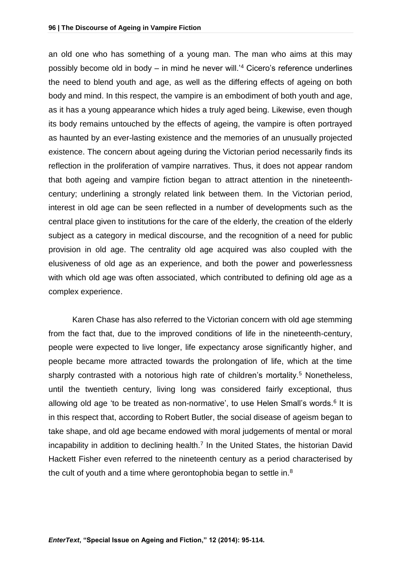an old one who has something of a young man. The man who aims at this may possibly become old in body – in mind he never will.'<sup>4</sup> Cicero's reference underlines the need to blend youth and age, as well as the differing effects of ageing on both body and mind. In this respect, the vampire is an embodiment of both youth and age, as it has a young appearance which hides a truly aged being. Likewise, even though its body remains untouched by the effects of ageing, the vampire is often portrayed as haunted by an ever-lasting existence and the memories of an unusually projected existence. The concern about ageing during the Victorian period necessarily finds its reflection in the proliferation of vampire narratives. Thus, it does not appear random that both ageing and vampire fiction began to attract attention in the nineteenthcentury; underlining a strongly related link between them. In the Victorian period, interest in old age can be seen reflected in a number of developments such as the central place given to institutions for the care of the elderly, the creation of the elderly subject as a category in medical discourse, and the recognition of a need for public provision in old age. The centrality old age acquired was also coupled with the elusiveness of old age as an experience, and both the power and powerlessness with which old age was often associated, which contributed to defining old age as a complex experience.

Karen Chase has also referred to the Victorian concern with old age stemming from the fact that, due to the improved conditions of life in the nineteenth-century, people were expected to live longer, life expectancy arose significantly higher, and people became more attracted towards the prolongation of life, which at the time sharply contrasted with a notorious high rate of children's mortality.<sup>5</sup> Nonetheless, until the twentieth century, living long was considered fairly exceptional, thus allowing old age 'to be treated as non-normative', to use Helen Small's words.<sup>6</sup> It is in this respect that, according to Robert Butler, the social disease of ageism began to take shape, and old age became endowed with moral judgements of mental or moral incapability in addition to declining health.<sup>7</sup> In the United States, the historian David Hackett Fisher even referred to the nineteenth century as a period characterised by the cult of youth and a time where gerontophobia began to settle in.<sup>8</sup>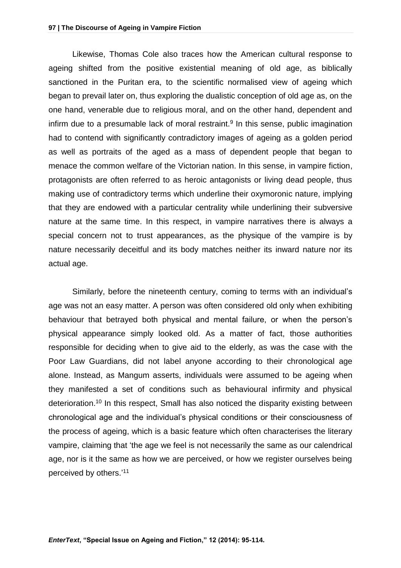Likewise, Thomas Cole also traces how the American cultural response to ageing shifted from the positive existential meaning of old age, as biblically sanctioned in the Puritan era, to the scientific normalised view of ageing which began to prevail later on, thus exploring the dualistic conception of old age as, on the one hand, venerable due to religious moral, and on the other hand, dependent and infirm due to a presumable lack of moral restraint. $9$  In this sense, public imagination had to contend with significantly contradictory images of ageing as a golden period as well as portraits of the aged as a mass of dependent people that began to menace the common welfare of the Victorian nation. In this sense, in vampire fiction, protagonists are often referred to as heroic antagonists or living dead people, thus making use of contradictory terms which underline their oxymoronic nature, implying that they are endowed with a particular centrality while underlining their subversive nature at the same time. In this respect, in vampire narratives there is always a special concern not to trust appearances, as the physique of the vampire is by nature necessarily deceitful and its body matches neither its inward nature nor its actual age.

Similarly, before the nineteenth century, coming to terms with an individual's age was not an easy matter. A person was often considered old only when exhibiting behaviour that betrayed both physical and mental failure, or when the person's physical appearance simply looked old. As a matter of fact, those authorities responsible for deciding when to give aid to the elderly, as was the case with the Poor Law Guardians, did not label anyone according to their chronological age alone. Instead, as Mangum asserts, individuals were assumed to be ageing when they manifested a set of conditions such as behavioural infirmity and physical deterioration. <sup>10</sup> In this respect, Small has also noticed the disparity existing between chronological age and the individual's physical conditions or their consciousness of the process of ageing, which is a basic feature which often characterises the literary vampire, claiming that 'the age we feel is not necessarily the same as our calendrical age, nor is it the same as how we are perceived, or how we register ourselves being perceived by others.' 11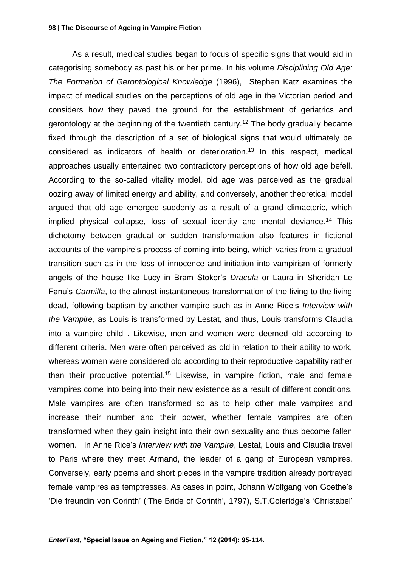As a result, medical studies began to focus of specific signs that would aid in categorising somebody as past his or her prime. In his volume *Disciplining Old Age: The Formation of Gerontological Knowledge* (1996), Stephen Katz examines the impact of medical studies on the perceptions of old age in the Victorian period and considers how they paved the ground for the establishment of geriatrics and gerontology at the beginning of the twentieth century.<sup>12</sup> The body gradually became fixed through the description of a set of biological signs that would ultimately be considered as indicators of health or deterioration. <sup>13</sup> In this respect, medical approaches usually entertained two contradictory perceptions of how old age befell. According to the so-called vitality model, old age was perceived as the gradual oozing away of limited energy and ability, and conversely, another theoretical model argued that old age emerged suddenly as a result of a grand climacteric, which implied physical collapse, loss of sexual identity and mental deviance. <sup>14</sup> This dichotomy between gradual or sudden transformation also features in fictional accounts of the vampire's process of coming into being, which varies from a gradual transition such as in the loss of innocence and initiation into vampirism of formerly angels of the house like Lucy in Bram Stoker's *Dracula* or Laura in Sheridan Le Fanu's *Carmilla*, to the almost instantaneous transformation of the living to the living dead, following baptism by another vampire such as in Anne Rice's *Interview with the Vampire*, as Louis is transformed by Lestat, and thus, Louis transforms Claudia into a vampire child . Likewise, men and women were deemed old according to different criteria. Men were often perceived as old in relation to their ability to work, whereas women were considered old according to their reproductive capability rather than their productive potential. <sup>15</sup> Likewise, in vampire fiction, male and female vampires come into being into their new existence as a result of different conditions. Male vampires are often transformed so as to help other male vampires and increase their number and their power, whether female vampires are often transformed when they gain insight into their own sexuality and thus become fallen women. In Anne Rice's *Interview with the Vampire*, Lestat, Louis and Claudia travel to Paris where they meet Armand, the leader of a gang of European vampires. Conversely, early poems and short pieces in the vampire tradition already portrayed female vampires as temptresses. As cases in point, Johann Wolfgang von Goethe's 'Die freundin von Corinth' ('The Bride of Corinth', 1797), S.T.Coleridge's 'Christabel'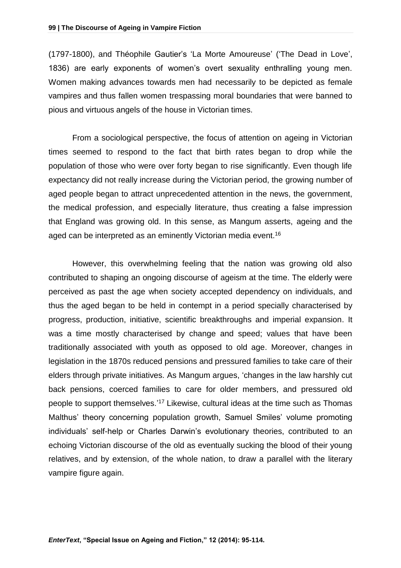(1797-1800), and Théophile Gautier's 'La Morte Amoureuse' ('The Dead in Love', 1836) are early exponents of women's overt sexuality enthralling young men. Women making advances towards men had necessarily to be depicted as female vampires and thus fallen women trespassing moral boundaries that were banned to pious and virtuous angels of the house in Victorian times.

From a sociological perspective, the focus of attention on ageing in Victorian times seemed to respond to the fact that birth rates began to drop while the population of those who were over forty began to rise significantly. Even though life expectancy did not really increase during the Victorian period, the growing number of aged people began to attract unprecedented attention in the news, the government, the medical profession, and especially literature, thus creating a false impression that England was growing old. In this sense, as Mangum asserts, ageing and the aged can be interpreted as an eminently Victorian media event.<sup>16</sup>

However, this overwhelming feeling that the nation was growing old also contributed to shaping an ongoing discourse of ageism at the time. The elderly were perceived as past the age when society accepted dependency on individuals, and thus the aged began to be held in contempt in a period specially characterised by progress, production, initiative, scientific breakthroughs and imperial expansion. It was a time mostly characterised by change and speed; values that have been traditionally associated with youth as opposed to old age. Moreover, changes in legislation in the 1870s reduced pensions and pressured families to take care of their elders through private initiatives. As Mangum argues, 'changes in the law harshly cut back pensions, coerced families to care for older members, and pressured old people to support themselves.<sup>'17</sup> Likewise, cultural ideas at the time such as Thomas Malthus' theory concerning population growth, Samuel Smiles' volume promoting individuals' self-help or Charles Darwin's evolutionary theories, contributed to an echoing Victorian discourse of the old as eventually sucking the blood of their young relatives, and by extension, of the whole nation, to draw a parallel with the literary vampire figure again.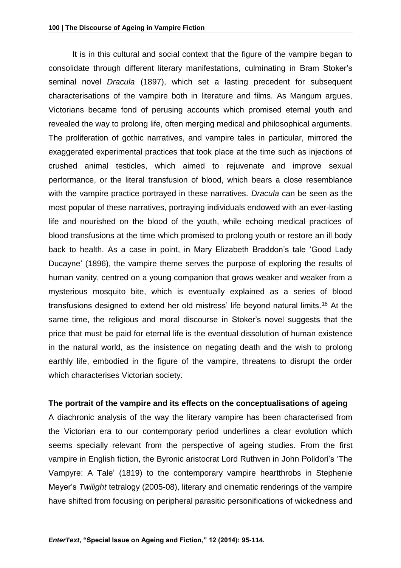It is in this cultural and social context that the figure of the vampire began to consolidate through different literary manifestations, culminating in Bram Stoker's seminal novel *Dracula* (1897), which set a lasting precedent for subsequent characterisations of the vampire both in literature and films. As Mangum argues, Victorians became fond of perusing accounts which promised eternal youth and revealed the way to prolong life, often merging medical and philosophical arguments. The proliferation of gothic narratives, and vampire tales in particular, mirrored the exaggerated experimental practices that took place at the time such as injections of crushed animal testicles, which aimed to rejuvenate and improve sexual performance, or the literal transfusion of blood, which bears a close resemblance with the vampire practice portrayed in these narratives. *Dracula* can be seen as the most popular of these narratives, portraying individuals endowed with an ever-lasting life and nourished on the blood of the youth, while echoing medical practices of blood transfusions at the time which promised to prolong youth or restore an ill body back to health. As a case in point, in Mary Elizabeth Braddon's tale 'Good Lady Ducayne' (1896), the vampire theme serves the purpose of exploring the results of human vanity, centred on a young companion that grows weaker and weaker from a mysterious mosquito bite, which is eventually explained as a series of blood transfusions designed to extend her old mistress' life beyond natural limits. <sup>18</sup> At the same time, the religious and moral discourse in Stoker's novel suggests that the price that must be paid for eternal life is the eventual dissolution of human existence in the natural world, as the insistence on negating death and the wish to prolong earthly life, embodied in the figure of the vampire, threatens to disrupt the order which characterises Victorian society.

#### **The portrait of the vampire and its effects on the conceptualisations of ageing**

A diachronic analysis of the way the literary vampire has been characterised from the Victorian era to our contemporary period underlines a clear evolution which seems specially relevant from the perspective of ageing studies. From the first vampire in English fiction, the Byronic aristocrat Lord Ruthven in John Polidori's 'The Vampyre: A Tale' (1819) to the contemporary vampire heartthrobs in Stephenie Meyer's *Twilight* tetralogy (2005-08), literary and cinematic renderings of the vampire have shifted from focusing on peripheral parasitic personifications of wickedness and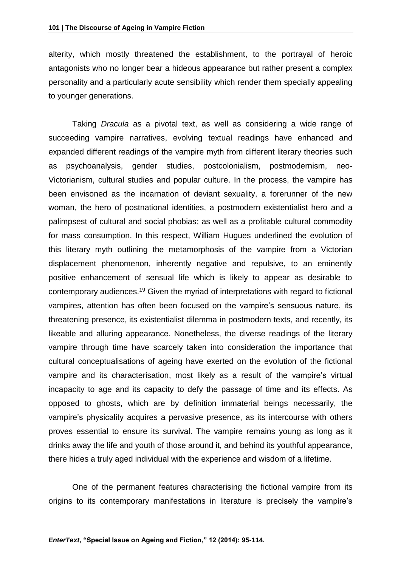alterity, which mostly threatened the establishment, to the portrayal of heroic antagonists who no longer bear a hideous appearance but rather present a complex personality and a particularly acute sensibility which render them specially appealing to younger generations.

Taking *Dracula* as a pivotal text, as well as considering a wide range of succeeding vampire narratives, evolving textual readings have enhanced and expanded different readings of the vampire myth from different literary theories such as psychoanalysis, gender studies, postcolonialism, postmodernism, neo-Victorianism, cultural studies and popular culture. In the process, the vampire has been envisoned as the incarnation of deviant sexuality, a forerunner of the new woman, the hero of postnational identities, a postmodern existentialist hero and a palimpsest of cultural and social phobias; as well as a profitable cultural commodity for mass consumption. In this respect, William Hugues underlined the evolution of this literary myth outlining the metamorphosis of the vampire from a Victorian displacement phenomenon, inherently negative and repulsive, to an eminently positive enhancement of sensual life which is likely to appear as desirable to contemporary audiences.<sup>19</sup> Given the myriad of interpretations with regard to fictional vampires, attention has often been focused on the vampire's sensuous nature, its threatening presence, its existentialist dilemma in postmodern texts, and recently, its likeable and alluring appearance. Nonetheless, the diverse readings of the literary vampire through time have scarcely taken into consideration the importance that cultural conceptualisations of ageing have exerted on the evolution of the fictional vampire and its characterisation, most likely as a result of the vampire's virtual incapacity to age and its capacity to defy the passage of time and its effects. As opposed to ghosts, which are by definition immaterial beings necessarily, the vampire's physicality acquires a pervasive presence, as its intercourse with others proves essential to ensure its survival. The vampire remains young as long as it drinks away the life and youth of those around it, and behind its youthful appearance, there hides a truly aged individual with the experience and wisdom of a lifetime.

One of the permanent features characterising the fictional vampire from its origins to its contemporary manifestations in literature is precisely the vampire's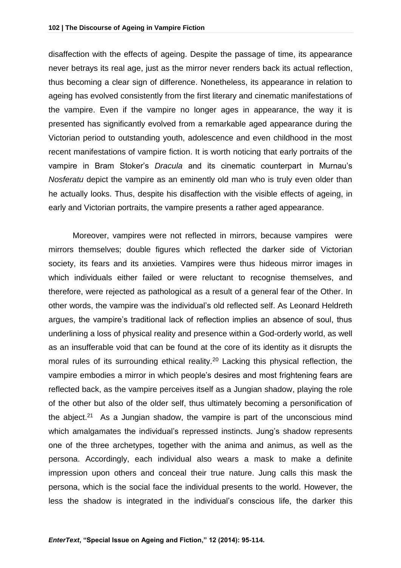disaffection with the effects of ageing. Despite the passage of time, its appearance never betrays its real age, just as the mirror never renders back its actual reflection, thus becoming a clear sign of difference. Nonetheless, its appearance in relation to ageing has evolved consistently from the first literary and cinematic manifestations of the vampire. Even if the vampire no longer ages in appearance, the way it is presented has significantly evolved from a remarkable aged appearance during the Victorian period to outstanding youth, adolescence and even childhood in the most recent manifestations of vampire fiction. It is worth noticing that early portraits of the vampire in Bram Stoker's *Dracula* and its cinematic counterpart in Murnau's *Nosferatu* depict the vampire as an eminently old man who is truly even older than he actually looks. Thus, despite his disaffection with the visible effects of ageing, in early and Victorian portraits, the vampire presents a rather aged appearance.

Moreover, vampires were not reflected in mirrors, because vampires were mirrors themselves; double figures which reflected the darker side of Victorian society, its fears and its anxieties. Vampires were thus hideous mirror images in which individuals either failed or were reluctant to recognise themselves, and therefore, were rejected as pathological as a result of a general fear of the Other. In other words, the vampire was the individual's old reflected self. As Leonard Heldreth argues, the vampire's traditional lack of reflection implies an absence of soul, thus underlining a loss of physical reality and presence within a God-orderly world, as well as an insufferable void that can be found at the core of its identity as it disrupts the moral rules of its surrounding ethical reality.<sup>20</sup> Lacking this physical reflection, the vampire embodies a mirror in which people's desires and most frightening fears are reflected back, as the vampire perceives itself as a Jungian shadow, playing the role of the other but also of the older self, thus ultimately becoming a personification of the abject.<sup>21</sup> As a Jungian shadow, the vampire is part of the unconscious mind which amalgamates the individual's repressed instincts. Jung's shadow represents one of the three archetypes, together with the anima and animus, as well as the persona. Accordingly, each individual also wears a mask to make a definite impression upon others and conceal their true nature. Jung calls this mask the persona, which is the social face the individual presents to the world. However, the less the shadow is integrated in the individual's conscious life, the darker this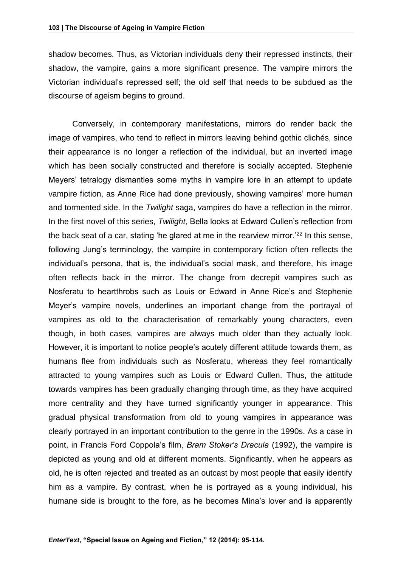shadow becomes. Thus, as Victorian individuals deny their repressed instincts, their shadow, the vampire, gains a more significant presence. The vampire mirrors the Victorian individual's repressed self; the old self that needs to be subdued as the discourse of ageism begins to ground.

Conversely, in contemporary manifestations, mirrors do render back the image of vampires, who tend to reflect in mirrors leaving behind gothic clichés, since their appearance is no longer a reflection of the individual, but an inverted image which has been socially constructed and therefore is socially accepted. Stephenie Meyers' tetralogy dismantles some myths in vampire lore in an attempt to update vampire fiction, as Anne Rice had done previously, showing vampires' more human and tormented side. In the *Twilight* saga, vampires do have a reflection in the mirror. In the first novel of this series, *Twilight*, Bella looks at Edward Cullen's reflection from the back seat of a car, stating 'he glared at me in the rearview mirror.<sup>'22</sup> In this sense, following Jung's terminology, the vampire in contemporary fiction often reflects the individual's persona, that is, the individual's social mask, and therefore, his image often reflects back in the mirror. The change from decrepit vampires such as Nosferatu to heartthrobs such as Louis or Edward in Anne Rice's and Stephenie Meyer's vampire novels, underlines an important change from the portrayal of vampires as old to the characterisation of remarkably young characters, even though, in both cases, vampires are always much older than they actually look. However, it is important to notice people's acutely different attitude towards them, as humans flee from individuals such as Nosferatu, whereas they feel romantically attracted to young vampires such as Louis or Edward Cullen. Thus, the attitude towards vampires has been gradually changing through time, as they have acquired more centrality and they have turned significantly younger in appearance. This gradual physical transformation from old to young vampires in appearance was clearly portrayed in an important contribution to the genre in the 1990s. As a case in point, in Francis Ford Coppola's film, *Bram Stoker's Dracula* (1992), the vampire is depicted as young and old at different moments. Significantly, when he appears as old, he is often rejected and treated as an outcast by most people that easily identify him as a vampire. By contrast, when he is portrayed as a young individual, his humane side is brought to the fore, as he becomes Mina's lover and is apparently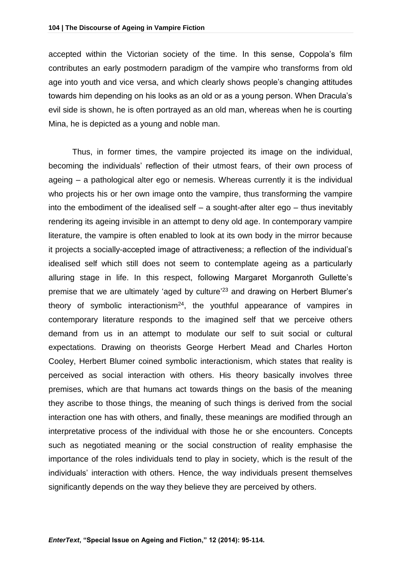accepted within the Victorian society of the time. In this sense, Coppola's film contributes an early postmodern paradigm of the vampire who transforms from old age into youth and vice versa, and which clearly shows people's changing attitudes towards him depending on his looks as an old or as a young person. When Dracula's evil side is shown, he is often portrayed as an old man, whereas when he is courting Mina, he is depicted as a young and noble man.

Thus, in former times, the vampire projected its image on the individual, becoming the individuals' reflection of their utmost fears, of their own process of ageing – a pathological alter ego or nemesis. Whereas currently it is the individual who projects his or her own image onto the vampire, thus transforming the vampire into the embodiment of the idealised self – a sought-after alter ego – thus inevitably rendering its ageing invisible in an attempt to deny old age. In contemporary vampire literature, the vampire is often enabled to look at its own body in the mirror because it projects a socially-accepted image of attractiveness; a reflection of the individual's idealised self which still does not seem to contemplate ageing as a particularly alluring stage in life. In this respect, following Margaret Morganroth Gullette's premise that we are ultimately 'aged by culture<sup>'23</sup> and drawing on Herbert Blumer's theory of symbolic interactionism<sup>24</sup>, the youthful appearance of vampires in contemporary literature responds to the imagined self that we perceive others demand from us in an attempt to modulate our self to suit social or cultural expectations. Drawing on theorists George Herbert Mead and Charles Horton Cooley, Herbert Blumer coined symbolic interactionism, which states that reality is perceived as social interaction with others. His theory basically involves three premises, which are that humans act towards things on the basis of the meaning they ascribe to those things, the meaning of such things is derived from the social interaction one has with others, and finally, these meanings are modified through an interpretative process of the individual with those he or she encounters. Concepts such as negotiated meaning or the social construction of reality emphasise the importance of the roles individuals tend to play in society, which is the result of the individuals' interaction with others. Hence, the way individuals present themselves significantly depends on the way they believe they are perceived by others.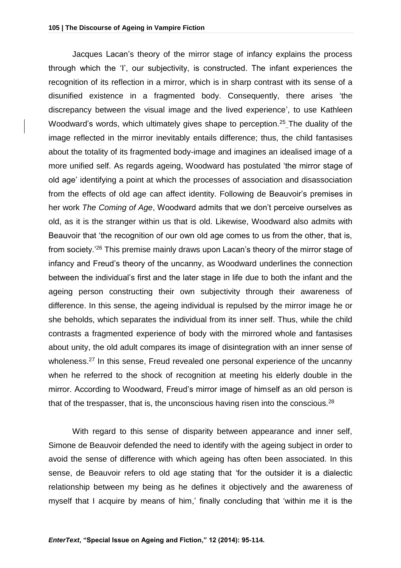Jacques Lacan's theory of the mirror stage of infancy explains the process through which the 'I', our subjectivity, is constructed. The infant experiences the recognition of its reflection in a mirror, which is in sharp contrast with its sense of a disunified existence in a fragmented body. Consequently, there arises 'the discrepancy between the visual image and the lived experience', to use Kathleen Woodward's words, which ultimately gives shape to perception.<sup>25</sup> The duality of the image reflected in the mirror inevitably entails difference; thus, the child fantasises about the totality of its fragmented body-image and imagines an idealised image of a more unified self. As regards ageing, Woodward has postulated 'the mirror stage of old age' identifying a point at which the processes of association and disassociation from the effects of old age can affect identity. Following de Beauvoir's premises in her work *The Coming of Age*, Woodward admits that we don't perceive ourselves as old, as it is the stranger within us that is old. Likewise, Woodward also admits with Beauvoir that 'the recognition of our own old age comes to us from the other, that is, from society.'<sup>26</sup> This premise mainly draws upon Lacan's theory of the mirror stage of infancy and Freud's theory of the uncanny, as Woodward underlines the connection between the individual's first and the later stage in life due to both the infant and the ageing person constructing their own subjectivity through their awareness of difference. In this sense, the ageing individual is repulsed by the mirror image he or she beholds, which separates the individual from its inner self. Thus, while the child contrasts a fragmented experience of body with the mirrored whole and fantasises about unity, the old adult compares its image of disintegration with an inner sense of wholeness.<sup>27</sup> In this sense, Freud revealed one personal experience of the uncanny when he referred to the shock of recognition at meeting his elderly double in the mirror. According to Woodward, Freud's mirror image of himself as an old person is that of the trespasser, that is, the unconscious having risen into the conscious.<sup>28</sup>

With regard to this sense of disparity between appearance and inner self, Simone de Beauvoir defended the need to identify with the ageing subject in order to avoid the sense of difference with which ageing has often been associated. In this sense, de Beauvoir refers to old age stating that 'for the outsider it is a dialectic relationship between my being as he defines it objectively and the awareness of myself that I acquire by means of him,' finally concluding that 'within me it is the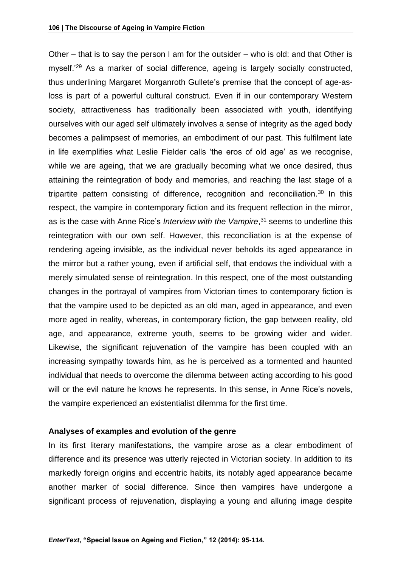Other – that is to say the person I am for the outsider – who is old: and that Other is myself.'<sup>29</sup> As a marker of social difference, ageing is largely socially constructed, thus underlining Margaret Morganroth Gullete's premise that the concept of age-asloss is part of a powerful cultural construct. Even if in our contemporary Western society, attractiveness has traditionally been associated with youth, identifying ourselves with our aged self ultimately involves a sense of integrity as the aged body becomes a palimpsest of memories, an embodiment of our past. This fulfilment late in life exemplifies what Leslie Fielder calls 'the eros of old age' as we recognise, while we are ageing, that we are gradually becoming what we once desired, thus attaining the reintegration of body and memories, and reaching the last stage of a tripartite pattern consisting of difference, recognition and reconciliation.<sup>30</sup> In this respect, the vampire in contemporary fiction and its frequent reflection in the mirror, as is the case with Anne Rice's *Interview with the Vampire*, <sup>31</sup> seems to underline this reintegration with our own self. However, this reconciliation is at the expense of rendering ageing invisible, as the individual never beholds its aged appearance in the mirror but a rather young, even if artificial self, that endows the individual with a merely simulated sense of reintegration. In this respect, one of the most outstanding changes in the portrayal of vampires from Victorian times to contemporary fiction is that the vampire used to be depicted as an old man, aged in appearance, and even more aged in reality, whereas, in contemporary fiction, the gap between reality, old age, and appearance, extreme youth, seems to be growing wider and wider. Likewise, the significant rejuvenation of the vampire has been coupled with an increasing sympathy towards him, as he is perceived as a tormented and haunted individual that needs to overcome the dilemma between acting according to his good will or the evil nature he knows he represents. In this sense, in Anne Rice's novels, the vampire experienced an existentialist dilemma for the first time.

#### **Analyses of examples and evolution of the genre**

In its first literary manifestations, the vampire arose as a clear embodiment of difference and its presence was utterly rejected in Victorian society. In addition to its markedly foreign origins and eccentric habits, its notably aged appearance became another marker of social difference. Since then vampires have undergone a significant process of rejuvenation, displaying a young and alluring image despite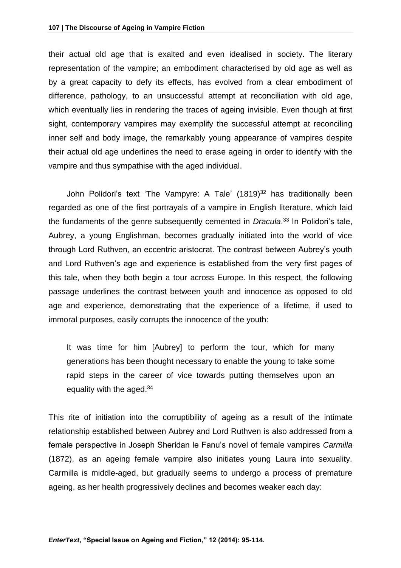their actual old age that is exalted and even idealised in society. The literary representation of the vampire; an embodiment characterised by old age as well as by a great capacity to defy its effects, has evolved from a clear embodiment of difference, pathology, to an unsuccessful attempt at reconciliation with old age, which eventually lies in rendering the traces of ageing invisible. Even though at first sight, contemporary vampires may exemplify the successful attempt at reconciling inner self and body image, the remarkably young appearance of vampires despite their actual old age underlines the need to erase ageing in order to identify with the vampire and thus sympathise with the aged individual.

John Polidori's text 'The Vampyre: A Tale' (1819)<sup>32</sup> has traditionally been regarded as one of the first portrayals of a vampire in English literature, which laid the fundaments of the genre subsequently cemented in *Dracula*. <sup>33</sup> In Polidori's tale, Aubrey, a young Englishman, becomes gradually initiated into the world of vice through Lord Ruthven, an eccentric aristocrat. The contrast between Aubrey's youth and Lord Ruthven's age and experience is established from the very first pages of this tale, when they both begin a tour across Europe. In this respect, the following passage underlines the contrast between youth and innocence as opposed to old age and experience, demonstrating that the experience of a lifetime, if used to immoral purposes, easily corrupts the innocence of the youth:

It was time for him [Aubrey] to perform the tour, which for many generations has been thought necessary to enable the young to take some rapid steps in the career of vice towards putting themselves upon an equality with the aged.<sup>34</sup>

This rite of initiation into the corruptibility of ageing as a result of the intimate relationship established between Aubrey and Lord Ruthven is also addressed from a female perspective in Joseph Sheridan le Fanu's novel of female vampires *Carmilla* (1872), as an ageing female vampire also initiates young Laura into sexuality. Carmilla is middle-aged, but gradually seems to undergo a process of premature ageing, as her health progressively declines and becomes weaker each day: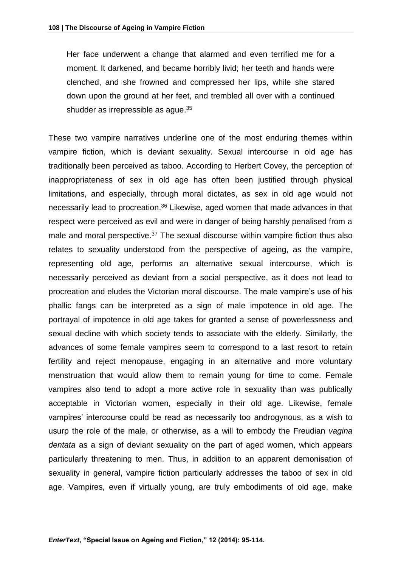Her face underwent a change that alarmed and even terrified me for a moment. It darkened, and became horribly livid; her teeth and hands were clenched, and she frowned and compressed her lips, while she stared down upon the ground at her feet, and trembled all over with a continued shudder as irrepressible as ague.<sup>35</sup>

These two vampire narratives underline one of the most enduring themes within vampire fiction, which is deviant sexuality. Sexual intercourse in old age has traditionally been perceived as taboo. According to Herbert Covey, the perception of inappropriateness of sex in old age has often been justified through physical limitations, and especially, through moral dictates, as sex in old age would not necessarily lead to procreation.<sup>36</sup> Likewise, aged women that made advances in that respect were perceived as evil and were in danger of being harshly penalised from a male and moral perspective.<sup>37</sup> The sexual discourse within vampire fiction thus also relates to sexuality understood from the perspective of ageing, as the vampire, representing old age, performs an alternative sexual intercourse, which is necessarily perceived as deviant from a social perspective, as it does not lead to procreation and eludes the Victorian moral discourse. The male vampire's use of his phallic fangs can be interpreted as a sign of male impotence in old age. The portrayal of impotence in old age takes for granted a sense of powerlessness and sexual decline with which society tends to associate with the elderly. Similarly, the advances of some female vampires seem to correspond to a last resort to retain fertility and reject menopause, engaging in an alternative and more voluntary menstruation that would allow them to remain young for time to come. Female vampires also tend to adopt a more active role in sexuality than was publically acceptable in Victorian women, especially in their old age. Likewise, female vampires' intercourse could be read as necessarily too androgynous, as a wish to usurp the role of the male, or otherwise, as a will to embody the Freudian *vagina dentata* as a sign of deviant sexuality on the part of aged women, which appears particularly threatening to men. Thus, in addition to an apparent demonisation of sexuality in general, vampire fiction particularly addresses the taboo of sex in old age. Vampires, even if virtually young, are truly embodiments of old age, make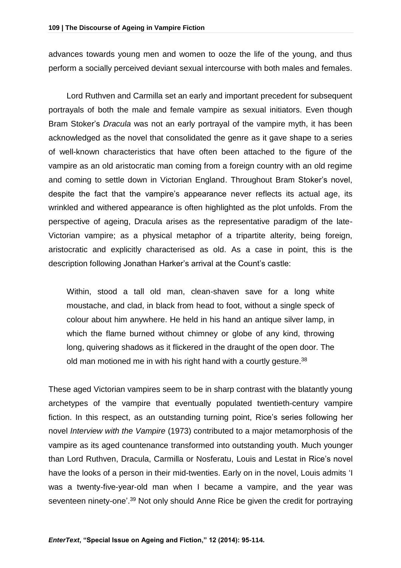advances towards young men and women to ooze the life of the young, and thus perform a socially perceived deviant sexual intercourse with both males and females.

Lord Ruthven and Carmilla set an early and important precedent for subsequent portrayals of both the male and female vampire as sexual initiators. Even though Bram Stoker's *Dracula* was not an early portrayal of the vampire myth, it has been acknowledged as the novel that consolidated the genre as it gave shape to a series of well-known characteristics that have often been attached to the figure of the vampire as an old aristocratic man coming from a foreign country with an old regime and coming to settle down in Victorian England. Throughout Bram Stoker's novel, despite the fact that the vampire's appearance never reflects its actual age, its wrinkled and withered appearance is often highlighted as the plot unfolds. From the perspective of ageing, Dracula arises as the representative paradigm of the late-Victorian vampire; as a physical metaphor of a tripartite alterity, being foreign, aristocratic and explicitly characterised as old. As a case in point, this is the description following Jonathan Harker's arrival at the Count's castle:

Within, stood a tall old man, clean-shaven save for a long white moustache, and clad, in black from head to foot, without a single speck of colour about him anywhere. He held in his hand an antique silver lamp, in which the flame burned without chimney or globe of any kind, throwing long, quivering shadows as it flickered in the draught of the open door. The old man motioned me in with his right hand with a courtly gesture.<sup>38</sup>

These aged Victorian vampires seem to be in sharp contrast with the blatantly young archetypes of the vampire that eventually populated twentieth-century vampire fiction. In this respect, as an outstanding turning point, Rice's series following her novel *Interview with the Vampire* (1973) contributed to a major metamorphosis of the vampire as its aged countenance transformed into outstanding youth. Much younger than Lord Ruthven, Dracula, Carmilla or Nosferatu, Louis and Lestat in Rice's novel have the looks of a person in their mid-twenties. Early on in the novel, Louis admits 'I was a twenty-five-year-old man when I became a vampire, and the year was seventeen ninety-one'.<sup>39</sup> Not only should Anne Rice be given the credit for portraying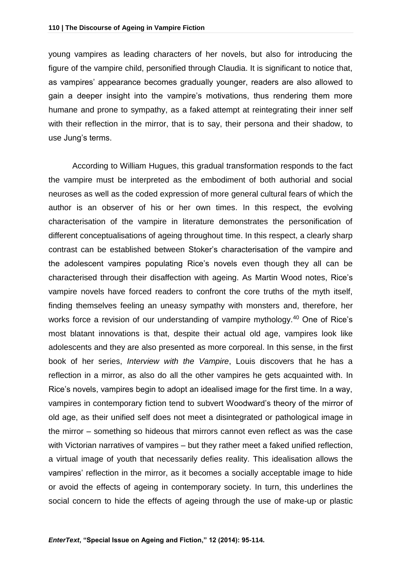young vampires as leading characters of her novels, but also for introducing the figure of the vampire child, personified through Claudia. It is significant to notice that, as vampires' appearance becomes gradually younger, readers are also allowed to gain a deeper insight into the vampire's motivations, thus rendering them more humane and prone to sympathy, as a faked attempt at reintegrating their inner self with their reflection in the mirror, that is to say, their persona and their shadow, to use Jung's terms.

According to William Hugues, this gradual transformation responds to the fact the vampire must be interpreted as the embodiment of both authorial and social neuroses as well as the coded expression of more general cultural fears of which the author is an observer of his or her own times. In this respect, the evolving characterisation of the vampire in literature demonstrates the personification of different conceptualisations of ageing throughout time. In this respect, a clearly sharp contrast can be established between Stoker's characterisation of the vampire and the adolescent vampires populating Rice's novels even though they all can be characterised through their disaffection with ageing. As Martin Wood notes, Rice's vampire novels have forced readers to confront the core truths of the myth itself, finding themselves feeling an uneasy sympathy with monsters and, therefore, her works force a revision of our understanding of vampire mythology.<sup>40</sup> One of Rice's most blatant innovations is that, despite their actual old age, vampires look like adolescents and they are also presented as more corporeal. In this sense, in the first book of her series, *Interview with the Vampire*, Louis discovers that he has a reflection in a mirror, as also do all the other vampires he gets acquainted with. In Rice's novels, vampires begin to adopt an idealised image for the first time. In a way, vampires in contemporary fiction tend to subvert Woodward's theory of the mirror of old age, as their unified self does not meet a disintegrated or pathological image in the mirror – something so hideous that mirrors cannot even reflect as was the case with Victorian narratives of vampires – but they rather meet a faked unified reflection, a virtual image of youth that necessarily defies reality. This idealisation allows the vampires' reflection in the mirror, as it becomes a socially acceptable image to hide or avoid the effects of ageing in contemporary society. In turn, this underlines the social concern to hide the effects of ageing through the use of make-up or plastic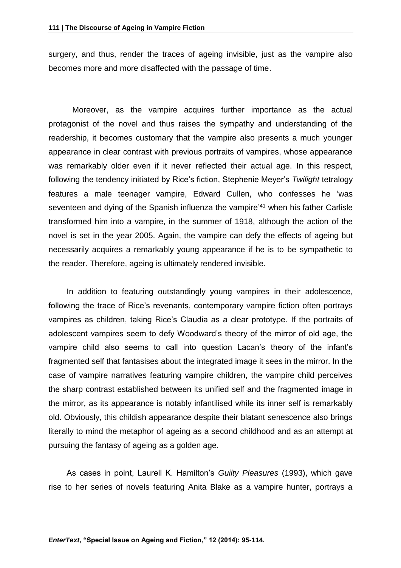surgery, and thus, render the traces of ageing invisible, just as the vampire also becomes more and more disaffected with the passage of time.

Moreover, as the vampire acquires further importance as the actual protagonist of the novel and thus raises the sympathy and understanding of the readership, it becomes customary that the vampire also presents a much younger appearance in clear contrast with previous portraits of vampires, whose appearance was remarkably older even if it never reflected their actual age. In this respect, following the tendency initiated by Rice's fiction, Stephenie Meyer's *Twilight* tetralogy features a male teenager vampire, Edward Cullen, who confesses he 'was seventeen and dying of the Spanish influenza the vampire<sup>'41</sup> when his father Carlisle transformed him into a vampire, in the summer of 1918, although the action of the novel is set in the year 2005. Again, the vampire can defy the effects of ageing but necessarily acquires a remarkably young appearance if he is to be sympathetic to the reader. Therefore, ageing is ultimately rendered invisible.

In addition to featuring outstandingly young vampires in their adolescence, following the trace of Rice's revenants, contemporary vampire fiction often portrays vampires as children, taking Rice's Claudia as a clear prototype. If the portraits of adolescent vampires seem to defy Woodward's theory of the mirror of old age, the vampire child also seems to call into question Lacan's theory of the infant's fragmented self that fantasises about the integrated image it sees in the mirror. In the case of vampire narratives featuring vampire children, the vampire child perceives the sharp contrast established between its unified self and the fragmented image in the mirror, as its appearance is notably infantilised while its inner self is remarkably old. Obviously, this childish appearance despite their blatant senescence also brings literally to mind the metaphor of ageing as a second childhood and as an attempt at pursuing the fantasy of ageing as a golden age.

As cases in point, Laurell K. Hamilton's *Guilty Pleasures* (1993), which gave rise to her series of novels featuring Anita Blake as a vampire hunter, portrays a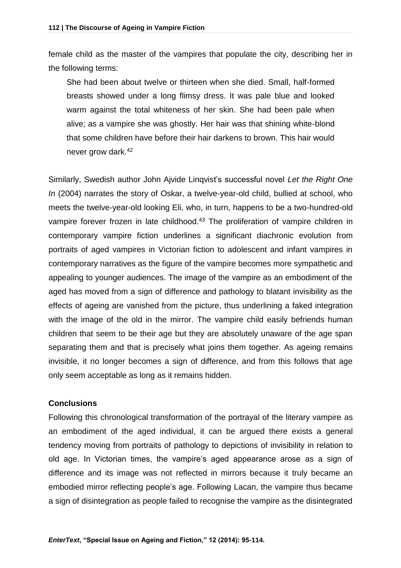female child as the master of the vampires that populate the city, describing her in the following terms:

She had been about twelve or thirteen when she died. Small, half-formed breasts showed under a long flimsy dress. It was pale blue and looked warm against the total whiteness of her skin. She had been pale when alive; as a vampire she was ghostly. Her hair was that shining white-blond that some children have before their hair darkens to brown. This hair would never grow dark.<sup>42</sup>

Similarly, Swedish author John Ajvide Linqvist's successful novel *Let the Right One In* (2004) narrates the story of Oskar, a twelve-year-old child, bullied at school, who meets the twelve-year-old looking Eli, who, in turn, happens to be a two-hundred-old vampire forever frozen in late childhood.<sup>43</sup> The proliferation of vampire children in contemporary vampire fiction underlines a significant diachronic evolution from portraits of aged vampires in Victorian fiction to adolescent and infant vampires in contemporary narratives as the figure of the vampire becomes more sympathetic and appealing to younger audiences. The image of the vampire as an embodiment of the aged has moved from a sign of difference and pathology to blatant invisibility as the effects of ageing are vanished from the picture, thus underlining a faked integration with the image of the old in the mirror. The vampire child easily befriends human children that seem to be their age but they are absolutely unaware of the age span separating them and that is precisely what joins them together. As ageing remains invisible, it no longer becomes a sign of difference, and from this follows that age only seem acceptable as long as it remains hidden.

#### **Conclusions**

Following this chronological transformation of the portrayal of the literary vampire as an embodiment of the aged individual, it can be argued there exists a general tendency moving from portraits of pathology to depictions of invisibility in relation to old age. In Victorian times, the vampire's aged appearance arose as a sign of difference and its image was not reflected in mirrors because it truly became an embodied mirror reflecting people's age. Following Lacan, the vampire thus became a sign of disintegration as people failed to recognise the vampire as the disintegrated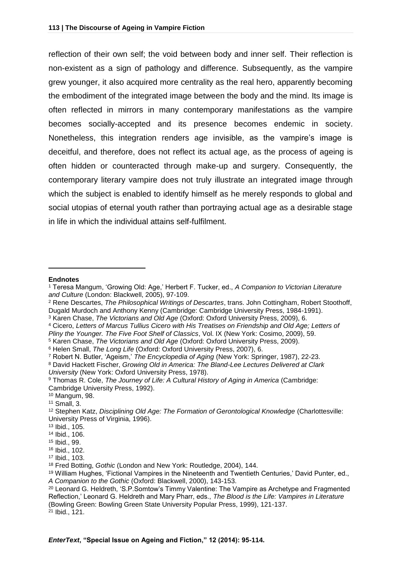reflection of their own self; the void between body and inner self. Their reflection is non-existent as a sign of pathology and difference. Subsequently, as the vampire grew younger, it also acquired more centrality as the real hero, apparently becoming the embodiment of the integrated image between the body and the mind. Its image is often reflected in mirrors in many contemporary manifestations as the vampire becomes socially-accepted and its presence becomes endemic in society. Nonetheless, this integration renders age invisible, as the vampire's image is deceitful, and therefore, does not reflect its actual age, as the process of ageing is often hidden or counteracted through make-up and surgery. Consequently, the contemporary literary vampire does not truly illustrate an integrated image through which the subject is enabled to identify himself as he merely responds to global and social utopias of eternal youth rather than portraying actual age as a desirable stage in life in which the individual attains self-fulfilment.

#### **Endnotes**

 $\overline{a}$ 

<sup>3</sup> Karen Chase, *The Victorians and Old Age* (Oxford: Oxford University Press, 2009), 6.

<sup>5</sup> Karen Chase, *The Victorians and Old Age* (Oxford: Oxford University Press, 2009).

<sup>7</sup> Robert N. Butler, 'Ageism,' *The Encyclopedia of Aging* (New York: Springer, 1987), 22-23.

<sup>10</sup> Mangum, 98.

<sup>1</sup> Teresa Mangum, 'Growing Old: Age,' Herbert F. Tucker, ed., *A Companion to Victorian Literature and Culture* (London: Blackwell, 2005), 97-109.

<sup>2</sup> Rene Descartes, *The Philosophical Writings of Descartes*, trans. John Cottingham, Robert Stoothoff, Dugald Murdoch and Anthony Kenny (Cambridge: Cambridge University Press, 1984-1991).

<sup>4</sup> Cicero, *Letters of Marcus Tullius Cicero with His Treatises on Friendship and Old Age; Letters of Pliny the Younger. The Five Foot Shelf of Classics*, Vol. IX (New York: Cosimo, 2009), 59.

<sup>6</sup> Helen Small, *The Long Life* (Oxford: Oxford University Press, 2007), 6.

<sup>8</sup> David Hackett Fischer, *Growing Old in America: The Bland-Lee Lectures Delivered at Clark University* (New York: Oxford University Press, 1978).

<sup>9</sup> Thomas R. Cole, *The Journey of Life: A Cultural History of Aging in America* (Cambridge: Cambridge University Press, 1992).

<sup>11</sup> Small, 3.

<sup>12</sup> Stephen Katz, *Disciplining Old Age: The Formation of Gerontological Knowledge* (Charlottesville: University Press of Virginia, 1996).

<sup>13</sup> Ibid., 105.

<sup>14</sup> Ibid., 106.

<sup>15</sup> Ibid., 99.

<sup>16</sup> Ibid., 102.

<sup>17</sup> Ibid., 103.

<sup>18</sup> Fred Botting, *Gothic* (London and New York: Routledge, 2004), 144.

<sup>19</sup> William Hughes, 'Fictional Vampires in the Nineteenth and Twentieth Centuries,' David Punter, ed., *A Companion to the Gothic* (Oxford: Blackwell, 2000), 143-153.

<sup>&</sup>lt;sup>20</sup> Leonard G. Heldreth, 'S.P.Somtow's Timmy Valentine: The Vampire as Archetype and Fragmented Reflection,' Leonard G. Heldreth and Mary Pharr, eds., *The Blood is the Life: Vampires in Literature* (Bowling Green: Bowling Green State University Popular Press, 1999), 121-137. <sup>21</sup> Ibid., 121.